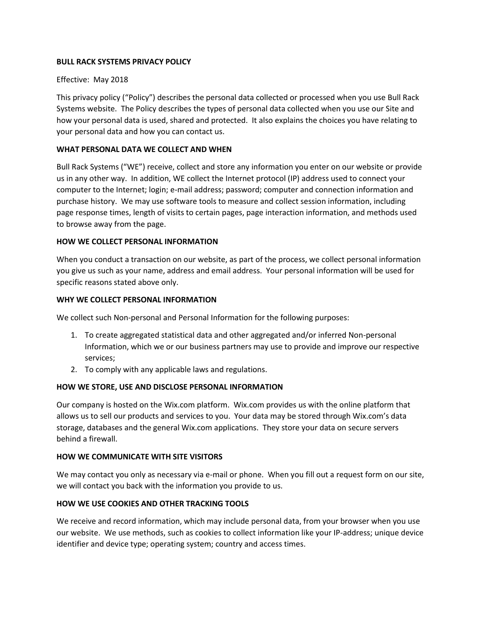## **BULL RACK SYSTEMS PRIVACY POLICY**

# Effective: May 2018

This privacy policy ("Policy") describes the personal data collected or processed when you use Bull Rack Systems website. The Policy describes the types of personal data collected when you use our Site and how your personal data is used, shared and protected. It also explains the choices you have relating to your personal data and how you can contact us.

# **WHAT PERSONAL DATA WE COLLECT AND WHEN**

Bull Rack Systems ("WE") receive, collect and store any information you enter on our website or provide us in any other way. In addition, WE collect the Internet protocol (IP) address used to connect your computer to the Internet; login; e-mail address; password; computer and connection information and purchase history. We may use software tools to measure and collect session information, including page response times, length of visits to certain pages, page interaction information, and methods used to browse away from the page.

## **HOW WE COLLECT PERSONAL INFORMATION**

When you conduct a transaction on our website, as part of the process, we collect personal information you give us such as your name, address and email address. Your personal information will be used for specific reasons stated above only.

## **WHY WE COLLECT PERSONAL INFORMATION**

We collect such Non-personal and Personal Information for the following purposes:

- 1. To create aggregated statistical data and other aggregated and/or inferred Non-personal Information, which we or our business partners may use to provide and improve our respective services;
- 2. To comply with any applicable laws and regulations.

## **HOW WE STORE, USE AND DISCLOSE PERSONAL INFORMATION**

Our company is hosted on the Wix.com platform. Wix.com provides us with the online platform that allows us to sell our products and services to you. Your data may be stored through Wix.com's data storage, databases and the general Wix.com applications. They store your data on secure servers behind a firewall.

## **HOW WE COMMUNICATE WITH SITE VISITORS**

We may contact you only as necessary via e-mail or phone. When you fill out a request form on our site, we will contact you back with the information you provide to us.

# **HOW WE USE COOKIES AND OTHER TRACKING TOOLS**

We receive and record information, which may include personal data, from your browser when you use our website. We use methods, such as cookies to collect information like your IP-address; unique device identifier and device type; operating system; country and access times.